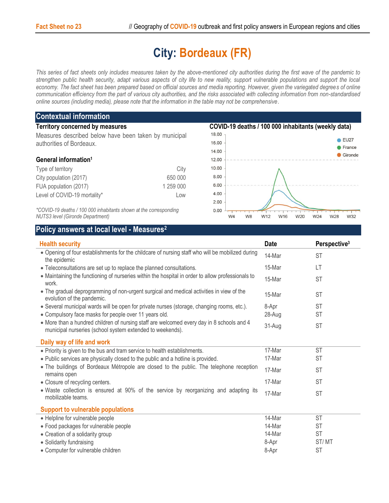## **City: Bordeaux (FR)**

*This series of fact sheets only includes measures taken by the above-mentioned city authorities during the first wave of the pandemic to strengthen public health security, adapt various aspects of city life to new reality, support vulnerable populations and support the local economy. The fact sheet has been prepared based on official sources and media reporting. However, given the variegated degrees of online communication efficiency from the part of various city authorities, and the risks associated with collecting information from non-standardised online sources (including media), please note that the information in the table may not be comprehensive*.

| <b>Contextual information</b>                                                                                                                                                                                                                                                                           |           |                                                     |               |  |
|---------------------------------------------------------------------------------------------------------------------------------------------------------------------------------------------------------------------------------------------------------------------------------------------------------|-----------|-----------------------------------------------------|---------------|--|
| <b>Territory concerned by measures</b>                                                                                                                                                                                                                                                                  |           | COVID-19 deaths / 100 000 inhabitants (weekly data) |               |  |
| Measures described below have been taken by municipal                                                                                                                                                                                                                                                   |           | 18.00                                               |               |  |
| authorities of Bordeaux.                                                                                                                                                                                                                                                                                |           | 16.00                                               | <b>EU27</b>   |  |
|                                                                                                                                                                                                                                                                                                         |           | 14.00                                               | <b>France</b> |  |
| General information <sup>1</sup>                                                                                                                                                                                                                                                                        |           | 12.00                                               | Gironde       |  |
| Type of territory                                                                                                                                                                                                                                                                                       | City      | 10.00                                               |               |  |
| City population (2017)                                                                                                                                                                                                                                                                                  | 650 000   | 8.00                                                |               |  |
| FUA population (2017)                                                                                                                                                                                                                                                                                   | 1 259 000 | 6.00                                                |               |  |
| Level of COVID-19 mortality*                                                                                                                                                                                                                                                                            | Low       | 4.00                                                |               |  |
|                                                                                                                                                                                                                                                                                                         |           | 2.00                                                |               |  |
| $\star$ and $\star$ and $\star$ and $\star$ and $\star$ and $\star$ and $\star$ and $\star$ and $\star$ and $\star$ and $\star$ and $\star$ and $\star$ and $\star$ and $\star$ and $\star$ and $\star$ and $\star$ and $\star$ and $\star$ and $\star$ and $\star$ and $\star$ and $\star$ and $\star$ |           |                                                     |               |  |

*\*COVID-19 deaths / 100 000 inhabitants shown at the corresponding NUTS3 level (Gironde Department)*



W32

## **Policy answers at local level - Measures<sup>2</sup>**

| <b>Health security</b>                                                                                                                                 | <b>Date</b> | Perspective <sup>3</sup> |
|--------------------------------------------------------------------------------------------------------------------------------------------------------|-------------|--------------------------|
| . Opening of four establishments for the childcare of nursing staff who will be mobilized during<br>the epidemic                                       | 14-Mar      | <b>ST</b>                |
| • Teleconsultations are set up to replace the planned consultations.                                                                                   | 15-Mar      | LT                       |
| • Maintaining the functioning of nurseries within the hospital in order to allow professionals to<br>work.                                             | 15-Mar      | <b>ST</b>                |
| • The gradual deprogramming of non-urgent surgical and medical activities in view of the<br>evolution of the pandemic.                                 | 15-Mar      | <b>ST</b>                |
| • Several municipal wards will be open for private nurses (storage, changing rooms, etc.).                                                             | 8-Apr       | <b>ST</b>                |
| • Compulsory face masks for people over 11 years old.                                                                                                  | 28-Aug      | <b>ST</b>                |
| • More than a hundred children of nursing staff are welcomed every day in 8 schools and 4<br>municipal nurseries (school system extended to weekends). | 31-Aug      | <b>ST</b>                |
| Daily way of life and work                                                                                                                             |             |                          |
| • Priority is given to the bus and tram service to health establishments.                                                                              | 17-Mar      | <b>ST</b>                |
| . Public services are physically closed to the public and a hotline is provided.                                                                       | 17-Mar      | <b>ST</b>                |
| • The buildings of Bordeaux Métropole are closed to the public. The telephone reception<br>remains open                                                | 17-Mar      | <b>ST</b>                |
| • Closure of recycling centers.                                                                                                                        | 17-Mar      | <b>ST</b>                |
| . Waste collection is ensured at 90% of the service by reorganizing and adapting its<br>mobilizable teams.                                             | 17-Mar      | ST                       |
| <b>Support to vulnerable populations</b>                                                                                                               |             |                          |
| • Helpline for vulnerable people                                                                                                                       | 14-Mar      | <b>ST</b>                |
| · Food packages for vulnerable people                                                                                                                  | 14-Mar      | <b>ST</b>                |
| • Creation of a solidarity group                                                                                                                       | 14-Mar      | <b>ST</b>                |
| • Solidarity fundraising                                                                                                                               | 8-Apr       | ST/MT                    |
| • Computer for vulnerable children                                                                                                                     | 8-Apr       | <b>ST</b>                |